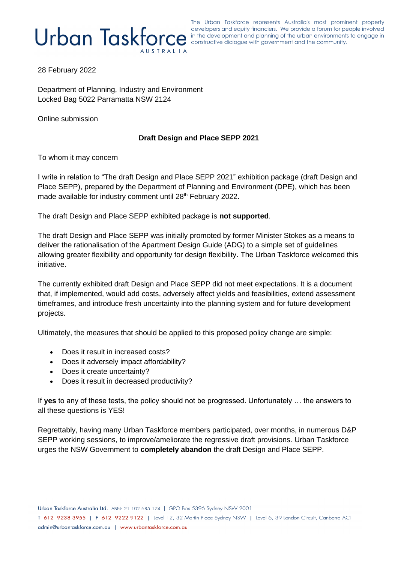The Urban Taskforce represents Australia's most prominent property developers and equity financiers. We provide a forum for people involved developers and equity financiers. We provide a forum for people involved in the development and planning of the urban environments to engage in constructive dialogue with government and the community.

28 February 2022

Department of Planning, Industry and Environment Locked Bag 5022 Parramatta NSW 2124

Online submission

## **Draft Design and Place SEPP 2021**

To whom it may concern

I write in relation to "The draft Design and Place SEPP 2021" exhibition package (draft Design and Place SEPP), prepared by the Department of Planning and Environment (DPE), which has been made available for industry comment until 28<sup>th</sup> February 2022.

The draft Design and Place SEPP exhibited package is **not supported**.

The draft Design and Place SEPP was initially promoted by former Minister Stokes as a means to deliver the rationalisation of the Apartment Design Guide (ADG) to a simple set of guidelines allowing greater flexibility and opportunity for design flexibility. The Urban Taskforce welcomed this initiative.

The currently exhibited draft Design and Place SEPP did not meet expectations. It is a document that, if implemented, would add costs, adversely affect yields and feasibilities, extend assessment timeframes, and introduce fresh uncertainty into the planning system and for future development projects.

Ultimately, the measures that should be applied to this proposed policy change are simple:

- Does it result in increased costs?
- Does it adversely impact affordability?
- Does it create uncertainty?
- Does it result in decreased productivity?

If **yes** to any of these tests, the policy should not be progressed. Unfortunately … the answers to all these questions is YES!

Regrettably, having many Urban Taskforce members participated, over months, in numerous D&P SEPP working sessions, to improve/ameliorate the regressive draft provisions. Urban Taskforce urges the NSW Government to **completely abandon** the draft Design and Place SEPP.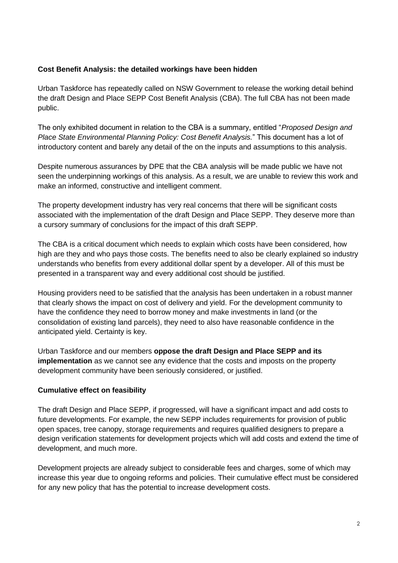## **Cost Benefit Analysis: the detailed workings have been hidden**

Urban Taskforce has repeatedly called on NSW Government to release the working detail behind the draft Design and Place SEPP Cost Benefit Analysis (CBA). The full CBA has not been made public.

The only exhibited document in relation to the CBA is a summary, entitled "*Proposed Design and Place State Environmental Planning Policy: Cost Benefit Analysis.*" This document has a lot of introductory content and barely any detail of the on the inputs and assumptions to this analysis.

Despite numerous assurances by DPE that the CBA analysis will be made public we have not seen the underpinning workings of this analysis. As a result, we are unable to review this work and make an informed, constructive and intelligent comment.

The property development industry has very real concerns that there will be significant costs associated with the implementation of the draft Design and Place SEPP. They deserve more than a cursory summary of conclusions for the impact of this draft SEPP.

The CBA is a critical document which needs to explain which costs have been considered, how high are they and who pays those costs. The benefits need to also be clearly explained so industry understands who benefits from every additional dollar spent by a developer. All of this must be presented in a transparent way and every additional cost should be justified.

Housing providers need to be satisfied that the analysis has been undertaken in a robust manner that clearly shows the impact on cost of delivery and yield. For the development community to have the confidence they need to borrow money and make investments in land (or the consolidation of existing land parcels), they need to also have reasonable confidence in the anticipated yield. Certainty is key.

Urban Taskforce and our members **oppose the draft Design and Place SEPP and its implementation** as we cannot see any evidence that the costs and imposts on the property development community have been seriously considered, or justified.

# **Cumulative effect on feasibility**

The draft Design and Place SEPP, if progressed, will have a significant impact and add costs to future developments. For example, the new SEPP includes requirements for provision of public open spaces, tree canopy, storage requirements and requires qualified designers to prepare a design verification statements for development projects which will add costs and extend the time of development, and much more.

Development projects are already subject to considerable fees and charges, some of which may increase this year due to ongoing reforms and policies. Their cumulative effect must be considered for any new policy that has the potential to increase development costs.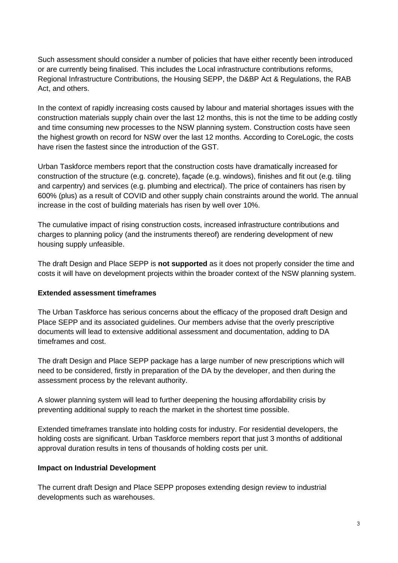Such assessment should consider a number of policies that have either recently been introduced or are currently being finalised. This includes the Local infrastructure contributions reforms, Regional Infrastructure Contributions, the Housing SEPP, the D&BP Act & Regulations, the RAB Act, and others.

In the context of rapidly increasing costs caused by labour and material shortages issues with the construction materials supply chain over the last 12 months, this is not the time to be adding costly and time consuming new processes to the NSW planning system. Construction costs have seen the highest growth on record for NSW over the last 12 months. According to CoreLogic, the costs have risen the fastest since the introduction of the GST.

Urban Taskforce members report that the construction costs have dramatically increased for construction of the structure (e.g. concrete), façade (e.g. windows), finishes and fit out (e.g. tiling and carpentry) and services (e.g. plumbing and electrical). The price of containers has risen by 600% (plus) as a result of COVID and other supply chain constraints around the world. The annual increase in the cost of building materials has risen by well over 10%.

The cumulative impact of rising construction costs, increased infrastructure contributions and charges to planning policy (and the instruments thereof) are rendering development of new housing supply unfeasible.

The draft Design and Place SEPP is **not supported** as it does not properly consider the time and costs it will have on development projects within the broader context of the NSW planning system.

### **Extended assessment timeframes**

The Urban Taskforce has serious concerns about the efficacy of the proposed draft Design and Place SEPP and its associated guidelines. Our members advise that the overly prescriptive documents will lead to extensive additional assessment and documentation, adding to DA timeframes and cost.

The draft Design and Place SEPP package has a large number of new prescriptions which will need to be considered, firstly in preparation of the DA by the developer, and then during the assessment process by the relevant authority.

A slower planning system will lead to further deepening the housing affordability crisis by preventing additional supply to reach the market in the shortest time possible.

Extended timeframes translate into holding costs for industry. For residential developers, the holding costs are significant. Urban Taskforce members report that just 3 months of additional approval duration results in tens of thousands of holding costs per unit.

### **Impact on Industrial Development**

The current draft Design and Place SEPP proposes extending design review to industrial developments such as warehouses.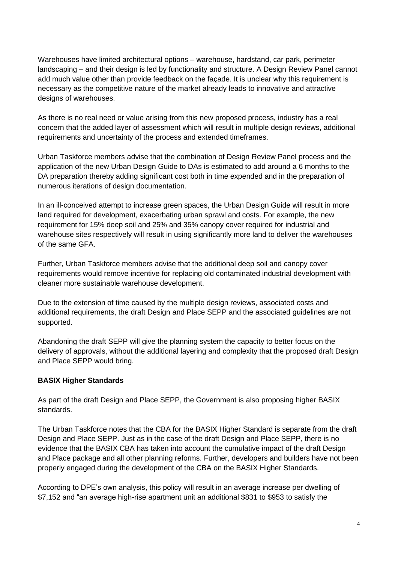Warehouses have limited architectural options – warehouse, hardstand, car park, perimeter landscaping – and their design is led by functionality and structure. A Design Review Panel cannot add much value other than provide feedback on the façade. It is unclear why this requirement is necessary as the competitive nature of the market already leads to innovative and attractive designs of warehouses.

As there is no real need or value arising from this new proposed process, industry has a real concern that the added layer of assessment which will result in multiple design reviews, additional requirements and uncertainty of the process and extended timeframes.

Urban Taskforce members advise that the combination of Design Review Panel process and the application of the new Urban Design Guide to DAs is estimated to add around a 6 months to the DA preparation thereby adding significant cost both in time expended and in the preparation of numerous iterations of design documentation.

In an ill-conceived attempt to increase green spaces, the Urban Design Guide will result in more land required for development, exacerbating urban sprawl and costs. For example, the new requirement for 15% deep soil and 25% and 35% canopy cover required for industrial and warehouse sites respectively will result in using significantly more land to deliver the warehouses of the same GFA.

Further, Urban Taskforce members advise that the additional deep soil and canopy cover requirements would remove incentive for replacing old contaminated industrial development with cleaner more sustainable warehouse development.

Due to the extension of time caused by the multiple design reviews, associated costs and additional requirements, the draft Design and Place SEPP and the associated guidelines are not supported.

Abandoning the draft SEPP will give the planning system the capacity to better focus on the delivery of approvals, without the additional layering and complexity that the proposed draft Design and Place SEPP would bring.

### **BASIX Higher Standards**

As part of the draft Design and Place SEPP, the Government is also proposing higher BASIX standards.

The Urban Taskforce notes that the CBA for the BASIX Higher Standard is separate from the draft Design and Place SEPP. Just as in the case of the draft Design and Place SEPP, there is no evidence that the BASIX CBA has taken into account the cumulative impact of the draft Design and Place package and all other planning reforms. Further, developers and builders have not been properly engaged during the development of the CBA on the BASIX Higher Standards.

According to DPE's own analysis, this policy will result in an average increase per dwelling of \$7,152 and "an average high-rise apartment unit an additional \$831 to \$953 to satisfy the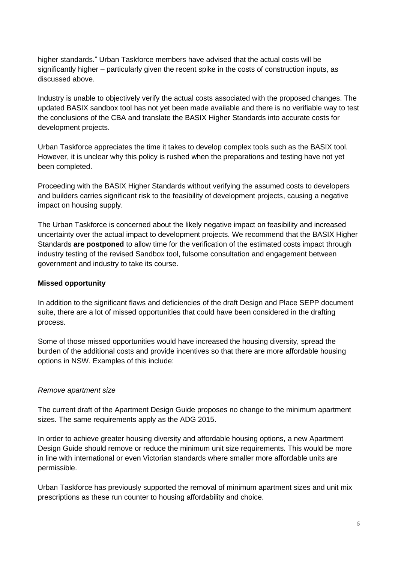higher standards." Urban Taskforce members have advised that the actual costs will be significantly higher – particularly given the recent spike in the costs of construction inputs, as discussed above.

Industry is unable to objectively verify the actual costs associated with the proposed changes. The updated BASIX sandbox tool has not yet been made available and there is no verifiable way to test the conclusions of the CBA and translate the BASIX Higher Standards into accurate costs for development projects.

Urban Taskforce appreciates the time it takes to develop complex tools such as the BASIX tool. However, it is unclear why this policy is rushed when the preparations and testing have not yet been completed.

Proceeding with the BASIX Higher Standards without verifying the assumed costs to developers and builders carries significant risk to the feasibility of development projects, causing a negative impact on housing supply.

The Urban Taskforce is concerned about the likely negative impact on feasibility and increased uncertainty over the actual impact to development projects. We recommend that the BASIX Higher Standards **are postponed** to allow time for the verification of the estimated costs impact through industry testing of the revised Sandbox tool, fulsome consultation and engagement between government and industry to take its course.

### **Missed opportunity**

In addition to the significant flaws and deficiencies of the draft Design and Place SEPP document suite, there are a lot of missed opportunities that could have been considered in the drafting process.

Some of those missed opportunities would have increased the housing diversity, spread the burden of the additional costs and provide incentives so that there are more affordable housing options in NSW. Examples of this include:

### *Remove apartment size*

The current draft of the Apartment Design Guide proposes no change to the minimum apartment sizes. The same requirements apply as the ADG 2015.

In order to achieve greater housing diversity and affordable housing options, a new Apartment Design Guide should remove or reduce the minimum unit size requirements. This would be more in line with international or even Victorian standards where smaller more affordable units are permissible.

Urban Taskforce has previously supported the removal of minimum apartment sizes and unit mix prescriptions as these run counter to housing affordability and choice.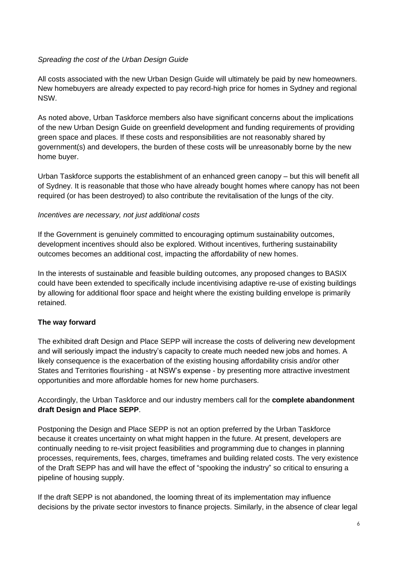# *Spreading the cost of the Urban Design Guide*

All costs associated with the new Urban Design Guide will ultimately be paid by new homeowners. New homebuyers are already expected to pay record-high price for homes in Sydney and regional NSW.

As noted above, Urban Taskforce members also have significant concerns about the implications of the new Urban Design Guide on greenfield development and funding requirements of providing green space and places. If these costs and responsibilities are not reasonably shared by government(s) and developers, the burden of these costs will be unreasonably borne by the new home buyer.

Urban Taskforce supports the establishment of an enhanced green canopy – but this will benefit all of Sydney. It is reasonable that those who have already bought homes where canopy has not been required (or has been destroyed) to also contribute the revitalisation of the lungs of the city.

### *Incentives are necessary, not just additional costs*

If the Government is genuinely committed to encouraging optimum sustainability outcomes, development incentives should also be explored. Without incentives, furthering sustainability outcomes becomes an additional cost, impacting the affordability of new homes.

In the interests of sustainable and feasible building outcomes, any proposed changes to BASIX could have been extended to specifically include incentivising adaptive re-use of existing buildings by allowing for additional floor space and height where the existing building envelope is primarily retained.

### **The way forward**

The exhibited draft Design and Place SEPP will increase the costs of delivering new development and will seriously impact the industry's capacity to create much needed new jobs and homes. A likely consequence is the exacerbation of the existing housing affordability crisis and/or other States and Territories flourishing - at NSW's expense - by presenting more attractive investment opportunities and more affordable homes for new home purchasers.

Accordingly, the Urban Taskforce and our industry members call for the **complete abandonment draft Design and Place SEPP**.

Postponing the Design and Place SEPP is not an option preferred by the Urban Taskforce because it creates uncertainty on what might happen in the future. At present, developers are continually needing to re-visit project feasibilities and programming due to changes in planning processes, requirements, fees, charges, timeframes and building related costs. The very existence of the Draft SEPP has and will have the effect of "spooking the industry" so critical to ensuring a pipeline of housing supply.

If the draft SEPP is not abandoned, the looming threat of its implementation may influence decisions by the private sector investors to finance projects. Similarly, in the absence of clear legal